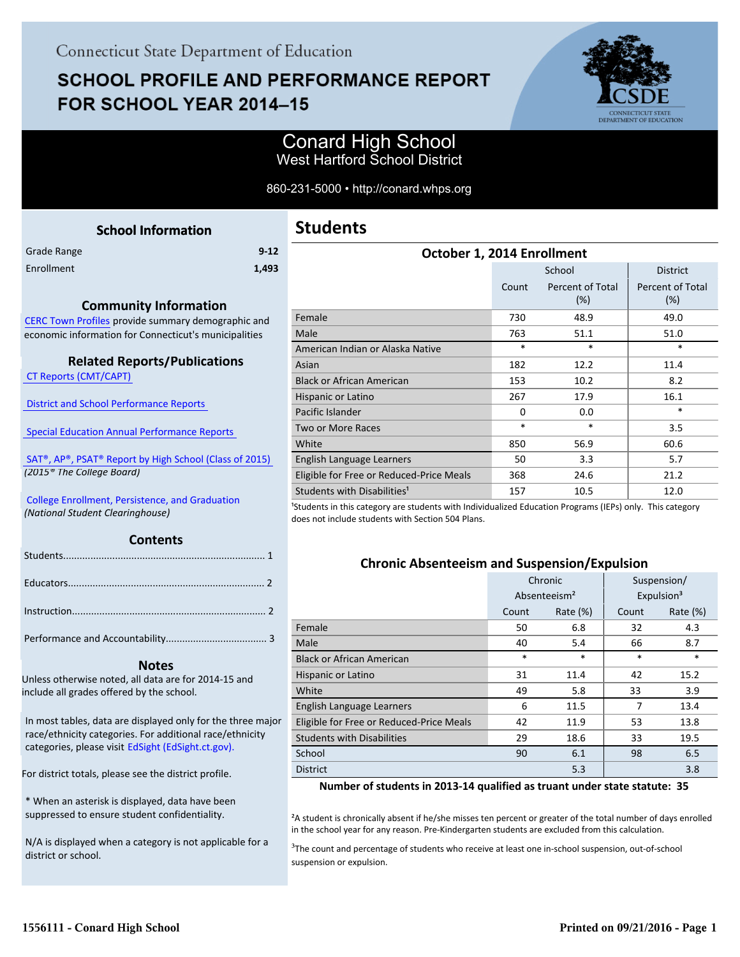# **SCHOOL PROFILE AND PERFORMANCE REPORT** FOR SCHOOL YEAR 2014-15



# Conard High School West Hartford School District

### 860-231-5000 • http://conard.whps.org

<span id="page-0-0"></span>

| <b>School Information</b>                             | <b>Stude</b>    |
|-------------------------------------------------------|-----------------|
| $9 - 12$<br>Grade Range                               |                 |
| Enrollment<br>1,493                                   |                 |
| <b>Community Information</b>                          |                 |
| CERC Town Profiles provide summary demographic and    | Female          |
| economic information for Connecticut's municipalities | Male            |
|                                                       | American        |
| <b>Related Reports/Publications</b>                   | Asian           |
| <b>CT Reports (CMT/CAPT)</b>                          | Black or A      |
|                                                       | Hispanic        |
| <b>District and School Performance Reports</b>        | Pacific Isl     |
| <b>Special Education Annual Performance Reports</b>   | Two or M        |
|                                                       | M <sub>th</sub> |

 [SAT®, AP®, PSAT® Report by High School \(Class of 2015\)](http://www.sde.ct.gov/sde/lib/sde/pdf/evalresearch/hss_ct_pub2015.pdf)   *(2015® The College Board)*

 [College Enrollment, Persistence, and Graduation](http://www.sde.ct.gov/sde/cwp/view.asp?a=2758&Q=335288)  *(National Student Clearinghouse)*

### **Contents**

### **Notes**

Unless otherwise noted, all data are for 2014-15 and include all grades offered by the school.

[In most tables, data are displayed only for the three major](http://edsight.ct.gov) race/ethnicity categories. For additional race/ethnicity categories, please visit EdSight (EdSight.ct.gov).

For district totals, please see the district profile.

\* When an asterisk is displayed, data have been suppressed to ensure student confidentiality.

N/A is displayed when a category is not applicable for a district or school.

| <b>Students</b> |  |
|-----------------|--|
|-----------------|--|

| October 1, 2014 Enrollment               |          |                         |                                |  |  |
|------------------------------------------|----------|-------------------------|--------------------------------|--|--|
|                                          |          | School                  | <b>District</b>                |  |  |
|                                          | Count    | Percent of Total<br>(%) | <b>Percent of Total</b><br>(%) |  |  |
| Female                                   | 730      | 48.9                    | 49.0                           |  |  |
| Male                                     | 763      | 51.1                    | 51.0                           |  |  |
| American Indian or Alaska Native         | $\ast$   | $\ast$                  | $\ast$                         |  |  |
| Asian                                    | 182      | 12.2                    | 11.4                           |  |  |
| Black or African American                | 153      | 10.2                    | 8.2                            |  |  |
| Hispanic or Latino                       | 267      | 17.9                    | 16.1                           |  |  |
| Pacific Islander                         | $\Omega$ | 0.0                     | $\ast$                         |  |  |
| <b>Two or More Races</b>                 | $\ast$   | *                       | 3.5                            |  |  |
| White                                    | 850      | 56.9                    | 60.6                           |  |  |
| English Language Learners                | 50       | 3.3                     | 5.7                            |  |  |
| Eligible for Free or Reduced-Price Meals | 368      | 24.6                    | 21.2                           |  |  |
| Students with Disabilities <sup>1</sup>  | 157      | 10.5                    | 12.0                           |  |  |

<sup>1</sup>Students in this category are students with Individualized Education Programs (IEPs) only. This category does not include students with Section 504 Plans.

## **Chronic Absenteeism and Suspension/Expulsion**

|                                          |                          | Chronic     |                        | Suspension/ |
|------------------------------------------|--------------------------|-------------|------------------------|-------------|
|                                          | Absenteeism <sup>2</sup> |             | Expulsion <sup>3</sup> |             |
|                                          | Count                    | Rate $(\%)$ | Count                  | Rate $(\%)$ |
| Female                                   | 50                       | 6.8         | 32                     | 4.3         |
| Male                                     | 40                       | 5.4         | 66                     | 8.7         |
| <b>Black or African American</b>         | $\ast$                   | $\ast$      | $\ast$                 | $\ast$      |
| Hispanic or Latino                       | 31                       | 11.4        | 42                     | 15.2        |
| White                                    | 49                       | 5.8         | 33                     | 3.9         |
| English Language Learners                | 6                        | 11.5        | 7                      | 13.4        |
| Eligible for Free or Reduced-Price Meals | 42                       | 11.9        | 53                     | 13.8        |
| <b>Students with Disabilities</b>        | 29                       | 18.6        | 33                     | 19.5        |
| School                                   | 90                       | 6.1         | 98                     | 6.5         |
| <b>District</b>                          |                          | 5.3         |                        | 3.8         |

**Number of students in 2013-14 qualified as truant under state statute: 35**

²A student is chronically absent if he/she misses ten percent or greater of the total number of days enrolled in the school year for any reason. Pre-Kindergarten students are excluded from this calculation.

<sup>3</sup>The count and percentage of students who receive at least one in-school suspension, out-of-school suspension or expulsion.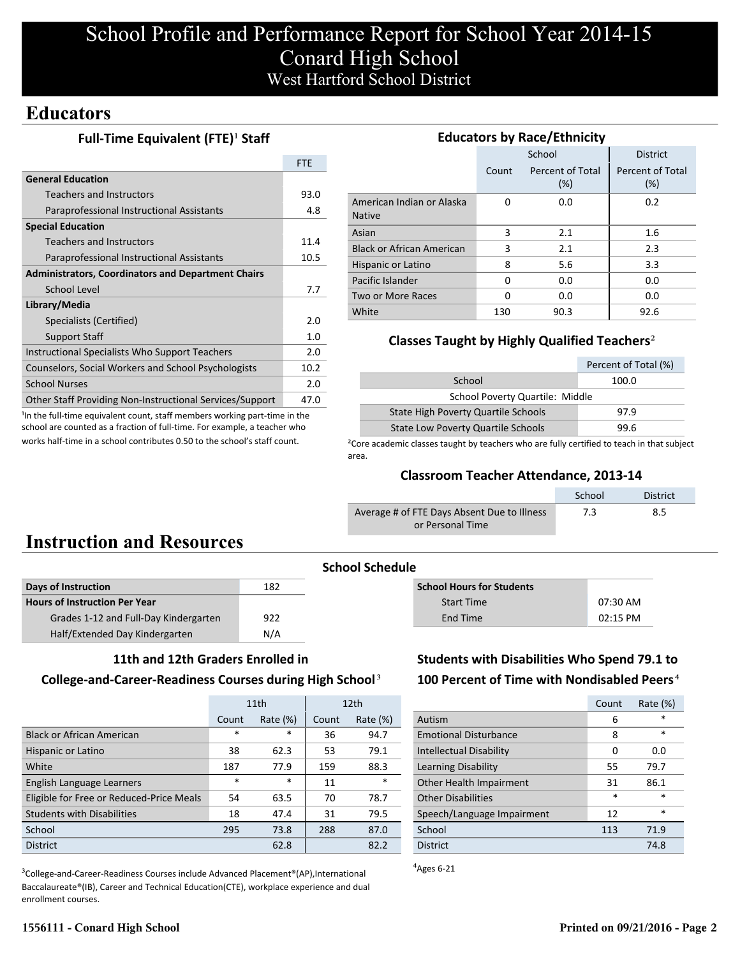# **Educators**

## **Full-Time Equivalent (FTE)<sup>1</sup> Staff**

|                                                           | <b>FTF</b> |
|-----------------------------------------------------------|------------|
| <b>General Education</b>                                  |            |
| Teachers and Instructors                                  | 93.0       |
| Paraprofessional Instructional Assistants                 | 4.8        |
| <b>Special Education</b>                                  |            |
| Teachers and Instructors                                  | 11.4       |
| Paraprofessional Instructional Assistants                 | 10.5       |
| <b>Administrators, Coordinators and Department Chairs</b> |            |
| School Level                                              | 7.7        |
| Library/Media                                             |            |
| Specialists (Certified)                                   | 2.0        |
| <b>Support Staff</b>                                      | 1.0        |
| Instructional Specialists Who Support Teachers            | 2.0        |
| Counselors, Social Workers and School Psychologists       | 10.2       |
| <b>School Nurses</b>                                      | 2.0        |
| Other Staff Providing Non-Instructional Services/Support  | 47.0       |

<sup>1</sup>In the full-time equivalent count, staff members working part-time in the school are counted as a fraction of full-time. For example, a teacher who works half-time in a school contributes 0.50 to the school's staff count.

| <b>Educators by Race/Ethnicity</b>         |       |                         |                         |  |  |
|--------------------------------------------|-------|-------------------------|-------------------------|--|--|
|                                            |       | School                  | <b>District</b>         |  |  |
|                                            | Count | Percent of Total<br>(%) | Percent of Total<br>(%) |  |  |
| American Indian or Alaska<br><b>Native</b> | O     | 0.0                     | 0.2                     |  |  |
| Asian                                      | 3     | 2.1                     | 1.6                     |  |  |
| <b>Black or African American</b>           | 3     | 2.1                     | 2.3                     |  |  |
| Hispanic or Latino                         | 8     | 5.6                     | 3.3                     |  |  |
| Pacific Islander                           | 0     | 0.0                     | 0.0                     |  |  |
| Two or More Races                          | O     | 0.0                     | 0.0                     |  |  |
| White                                      | 130   | 90.3                    | 92.6                    |  |  |

## **Classes Taught by Highly Qualified Teachers**²

|                                                   | Percent of Total (%) |  |  |
|---------------------------------------------------|----------------------|--|--|
| School<br>100.0                                   |                      |  |  |
| School Poverty Quartile: Middle                   |                      |  |  |
| State High Poverty Quartile Schools<br>97.9       |                      |  |  |
| <b>State Low Poverty Quartile Schools</b><br>99.6 |                      |  |  |

<sup>2</sup>Core academic classes taught by teachers who are fully certified to teach in that subject area.

## **Classroom Teacher Attendance, 2013-14**

|                                             | School | <b>District</b> |
|---------------------------------------------|--------|-----------------|
| Average # of FTE Days Absent Due to Illness | 7.3    | 8.5             |
| or Personal Time                            |        |                 |

# **Instruction and Resources**

| Days of Instruction                   | 182 |
|---------------------------------------|-----|
| <b>Hours of Instruction Per Year</b>  |     |
| Grades 1-12 and Full-Day Kindergarten | 922 |
| Half/Extended Day Kindergarten        | N/A |
|                                       |     |

### **11th and 12th Graders Enrolled in**

### **College-and-Career-Readiness Courses during High School**³

|                                          | 11th   |             | 12 <sub>th</sub> |             |
|------------------------------------------|--------|-------------|------------------|-------------|
|                                          | Count  | Rate $(\%)$ | Count            | Rate $(\%)$ |
| <b>Black or African American</b>         | $\ast$ | $\ast$      | 36               | 94.7        |
| Hispanic or Latino                       | 38     | 62.3        | 53               | 79.1        |
| White                                    | 187    | 77.9        | 159              | 88.3        |
| English Language Learners                | $\ast$ | $\ast$      | 11               | $\ast$      |
| Eligible for Free or Reduced-Price Meals | 54     | 63.5        | 70               | 78.7        |
| <b>Students with Disabilities</b>        | 18     | 47.4        | 31               | 79.5        |
| School                                   | 295    | 73.8        | 288              | 87.0        |
| <b>District</b>                          |        | 62.8        |                  | 82.2        |

<sup>3</sup>College-and-Career-Readiness Courses include Advanced Placement®(AP),International Baccalaureate®(IB), Career and Technical Education(CTE), workplace experience and dual enrollment courses.

**School Schedule**

| <b>School Hours for Students</b> |            |
|----------------------------------|------------|
| <b>Start Time</b>                | $07:30$ AM |
| End Time                         | $02:15$ PM |

# **Students with Disabilities Who Spend 79.1 to** 100 Percent of Time with Nondisabled Peers<sup>4</sup>

|                              | Count  | Rate $(\%)$ |
|------------------------------|--------|-------------|
| Autism                       | 6      | $\star$     |
| <b>Emotional Disturbance</b> | 8      | $\ast$      |
| Intellectual Disability      | 0      | 0.0         |
| Learning Disability          | 55     | 79.7        |
| Other Health Impairment      | 31     | 86.1        |
| <b>Other Disabilities</b>    | $\ast$ | $\ast$      |
| Speech/Language Impairment   | 12     | $\ast$      |
| School                       | 113    | 71.9        |
| <b>District</b>              |        | 74.8        |

 $A$ <sub>Ages</sub> 6-21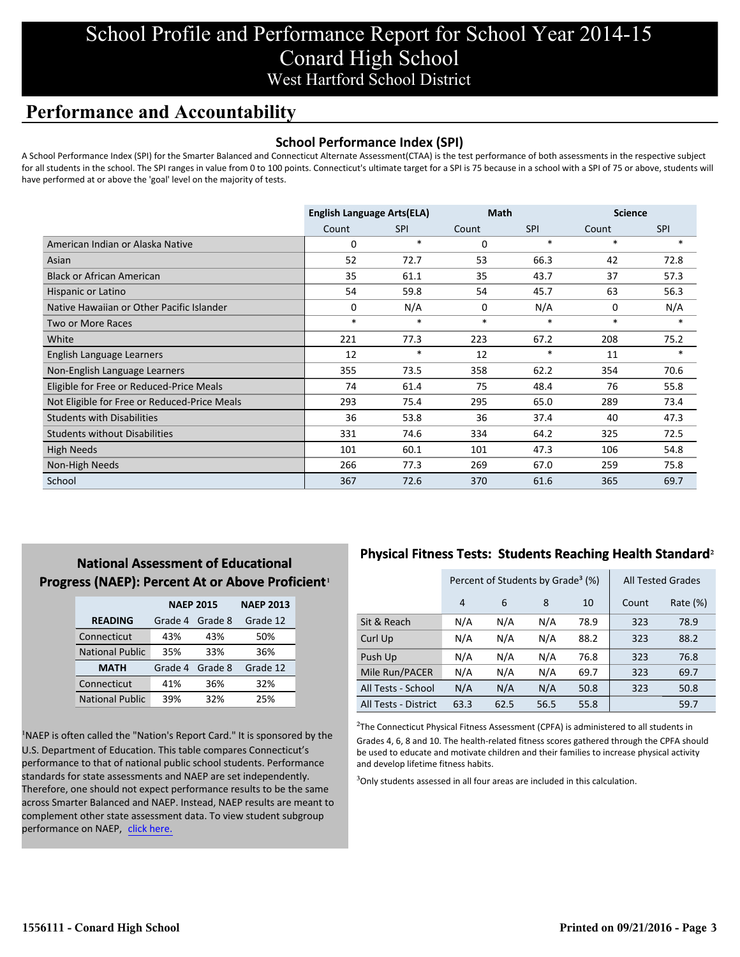# **Performance and Accountability**

## **School Performance Index (SPI)**

A School Performance Index (SPI) for the Smarter Balanced and Connecticut Alternate Assessment(CTAA) is the test performance of both assessments in the respective subject for all students in the school. The SPI ranges in value from 0 to 100 points. Connecticut's ultimate target for a SPI is 75 because in a school with a SPI of 75 or above, students will have performed at or above the 'goal' level on the majority of tests.

|                                              | <b>English Language Arts(ELA)</b> |            | <b>Math</b> |            | <b>Science</b> |            |
|----------------------------------------------|-----------------------------------|------------|-------------|------------|----------------|------------|
|                                              | Count                             | <b>SPI</b> | Count       | <b>SPI</b> | Count          | <b>SPI</b> |
| American Indian or Alaska Native             | 0                                 | $\ast$     | $\Omega$    | $\ast$     | $\ast$         | $\ast$     |
| Asian                                        | 52                                | 72.7       | 53          | 66.3       | 42             | 72.8       |
| <b>Black or African American</b>             | 35                                | 61.1       | 35          | 43.7       | 37             | 57.3       |
| Hispanic or Latino                           | 54                                | 59.8       | 54          | 45.7       | 63             | 56.3       |
| Native Hawaiian or Other Pacific Islander    | 0                                 | N/A        | 0           | N/A        | 0              | N/A        |
| Two or More Races                            | $\ast$                            | $\ast$     | $\ast$      | $\ast$     | $\ast$         | $\ast$     |
| White                                        | 221                               | 77.3       | 223         | 67.2       | 208            | 75.2       |
| English Language Learners                    | 12                                | $\ast$     | 12          | $\ast$     | 11             | $*$        |
| Non-English Language Learners                | 355                               | 73.5       | 358         | 62.2       | 354            | 70.6       |
| Eligible for Free or Reduced-Price Meals     | 74                                | 61.4       | 75          | 48.4       | 76             | 55.8       |
| Not Eligible for Free or Reduced-Price Meals | 293                               | 75.4       | 295         | 65.0       | 289            | 73.4       |
| <b>Students with Disabilities</b>            | 36                                | 53.8       | 36          | 37.4       | 40             | 47.3       |
| <b>Students without Disabilities</b>         | 331                               | 74.6       | 334         | 64.2       | 325            | 72.5       |
| <b>High Needs</b>                            | 101                               | 60.1       | 101         | 47.3       | 106            | 54.8       |
| Non-High Needs                               | 266                               | 77.3       | 269         | 67.0       | 259            | 75.8       |
| School                                       | 367                               | 72.6       | 370         | 61.6       | 365            | 69.7       |

# **National Assessment of Educational Progress (NAEP): Percent At or Above Proficient1**

|                        | <b>NAEP 2015</b> | <b>NAEP 2013</b> |          |
|------------------------|------------------|------------------|----------|
| <b>READING</b>         | Grade 4          | Grade 8          | Grade 12 |
| Connecticut            | 43%              | 43%              | 50%      |
| <b>National Public</b> | 35%              | 33%              | 36%      |
| <b>MATH</b>            | Grade 4          | Grade 8          | Grade 12 |
| Connecticut            | 41%              | 36%              | 32%      |
| <b>National Public</b> | 39%              | 32%              | 25%      |

<sup>1</sup>NAEP is often called the "Nation's Report Card." It is sponsored by the U.S. Department of Education. This table compares Connecticut's performance to that of national public school students. Performance standards for state assessments and NAEP are set independently. Therefore, one should not expect performance results to be the same across Smarter Balanced and NAEP. Instead, NAEP results are meant to complement other state assessment data. To view student subgroup performance on NAEP, click here.

## **Physical Fitness Tests: Students Reaching Health Standard**²

|                      |      | Percent of Students by Grade <sup>3</sup> (%) |      | <b>All Tested Grades</b> |       |             |
|----------------------|------|-----------------------------------------------|------|--------------------------|-------|-------------|
|                      | 4    | 6                                             | 8    | 10                       | Count | Rate $(\%)$ |
| Sit & Reach          | N/A  | N/A                                           | N/A  | 78.9                     | 323   | 78.9        |
| Curl Up              | N/A  | N/A                                           | N/A  | 88.2                     | 323   | 88.2        |
| Push Up              | N/A  | N/A                                           | N/A  | 76.8                     | 323   | 76.8        |
| Mile Run/PACER       | N/A  | N/A                                           | N/A  | 69.7                     | 323   | 69.7        |
| All Tests - School   | N/A  | N/A                                           | N/A  | 50.8                     | 323   | 50.8        |
| All Tests - District | 63.3 | 62.5                                          | 56.5 | 55.8                     |       | 59.7        |

 $2$ The Connecticut Physical Fitness Assessment (CPFA) is administered to all students in Grades 4, 6, 8 and 10. The health-related fitness scores gathered through the CPFA should be used to educate and motivate children and their families to increase physical activity and develop lifetime fitness habits.

<sup>3</sup>Only students assessed in all four areas are included in this calculation.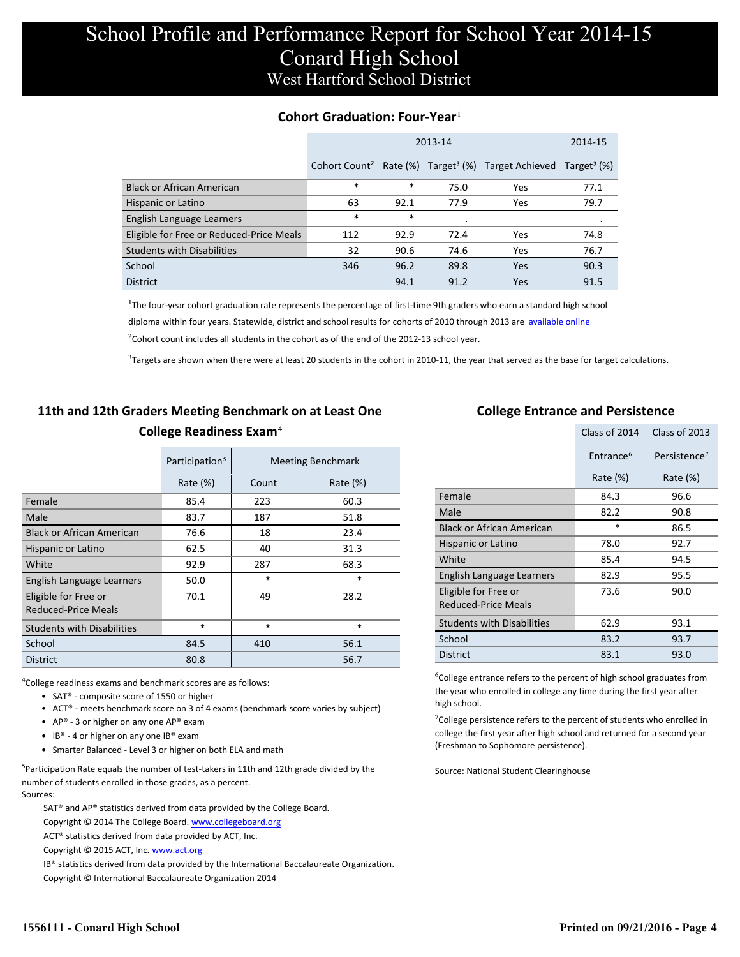## **Cohort Graduation: Four-Year**<sup>1</sup>

|                                          |                           | 2014-15 |      |                                                  |                           |
|------------------------------------------|---------------------------|---------|------|--------------------------------------------------|---------------------------|
|                                          | Cohort Count <sup>2</sup> |         |      | Rate (%) Target <sup>3</sup> (%) Target Achieved | Target <sup>3</sup> $(%)$ |
| <b>Black or African American</b>         | $\ast$                    | $\ast$  | 75.0 | Yes                                              | 77.1                      |
| Hispanic or Latino                       | 63                        | 92.1    | 77.9 | Yes                                              | 79.7                      |
| English Language Learners                | $\ast$                    | *       |      |                                                  | ٠                         |
| Eligible for Free or Reduced-Price Meals | 112                       | 92.9    | 72.4 | Yes                                              | 74.8                      |
| <b>Students with Disabilities</b>        | 32                        | 90.6    | 74.6 | Yes                                              | 76.7                      |
| School                                   | 346                       | 96.2    | 89.8 | Yes                                              | 90.3                      |
| <b>District</b>                          |                           | 94.1    | 91.2 | Yes                                              | 91.5                      |

<sup>1</sup>The four-year cohort graduation rate represents the percentage of first-time 9th graders who earn a standard high school [diploma within four years. Statewide, district and school results for cohorts of 2010 through 2013 are available online.](http://www.sde.ct.gov/sde/cwp/view.asp?a=2758&q=334898)

 $2$ Cohort count includes all students in the cohort as of the end of the 2012-13 school year.

 $3$ Targets are shown when there were at least 20 students in the cohort in 2010-11, the year that served as the base for target calculations.

# **11th and 12th Graders Meeting Benchmark on at Least One College Readiness Exam**⁴

|                                             | Participation <sup>5</sup> |        | <b>Meeting Benchmark</b> |
|---------------------------------------------|----------------------------|--------|--------------------------|
|                                             | Rate $(\%)$                | Count  | Rate $(\%)$              |
| Female                                      | 85.4                       | 223    | 60.3                     |
| Male                                        | 83.7                       | 187    | 51.8                     |
| <b>Black or African American</b>            | 76.6                       | 18     | 23.4                     |
| Hispanic or Latino                          | 62.5                       | 40     | 31.3                     |
| White                                       | 92.9                       | 287    | 68.3                     |
| English Language Learners                   | 50.0                       | $\ast$ | $\ast$                   |
| Eligible for Free or<br>Reduced-Price Meals | 70.1                       | 49     | 28.2                     |
| <b>Students with Disabilities</b>           | $\ast$                     | $\ast$ | $\ast$                   |
| School                                      | 84.5                       | 410    | 56.1                     |
| <b>District</b>                             | 80.8                       |        | 56.7                     |

⁴College readiness exams and benchmark scores are as follows:

- SAT® composite score of 1550 or higher
- ACT® meets benchmark score on 3 of 4 exams (benchmark score varies by subject)
- AP® 3 or higher on any one  $AP^®$  exam
- IB® 4 or higher on any one IB® exam
- Smarter Balanced Level 3 or higher on both ELA and math

 $5$ Participation Rate equals the number of test-takers in 11th and 12th grade divided by the number of students enrolled in those grades, as a percent. Sources:

SAT® and AP® statistics derived from data provided by the College Board.

Copyright © 2014 The College Board. www.collegeboard.org

ACT® statistics derived from data provided by ACT, Inc.

Copyright © 2015 ACT, Inc. www.act.org

IB® statistics derived from data provided by the International Baccalaureate Organization.

Copyright © International Baccalaureate Organization 2014

## **College Entrance and Persistence**

|                                                    | Class of 2014         | Class of 2013            |
|----------------------------------------------------|-----------------------|--------------------------|
|                                                    | Entrance <sup>6</sup> | Persistence <sup>7</sup> |
|                                                    | Rate $(\%)$           | Rate $(\%)$              |
| Female                                             | 84.3                  | 96.6                     |
| Male                                               | 82.2                  | 90.8                     |
| <b>Black or African American</b>                   | $\ast$                | 86.5                     |
| Hispanic or Latino                                 | 78.0                  | 92.7                     |
| White                                              | 85.4                  | 94.5                     |
| English Language Learners                          | 82.9                  | 95.5                     |
| Eligible for Free or<br><b>Reduced-Price Meals</b> | 73.6                  | 90.0                     |
| <b>Students with Disabilities</b>                  | 62.9                  | 93.1                     |
| School                                             | 83.2                  | 93.7                     |
| <b>District</b>                                    | 83.1                  | 93.0                     |

⁶College entrance refers to the percent of high school graduates from the year who enrolled in college any time during the first year after high school.

<sup>7</sup>College persistence refers to the percent of students who enrolled in college the first year after high school and returned for a second year (Freshman to Sophomore persistence).

Source: National Student Clearinghouse